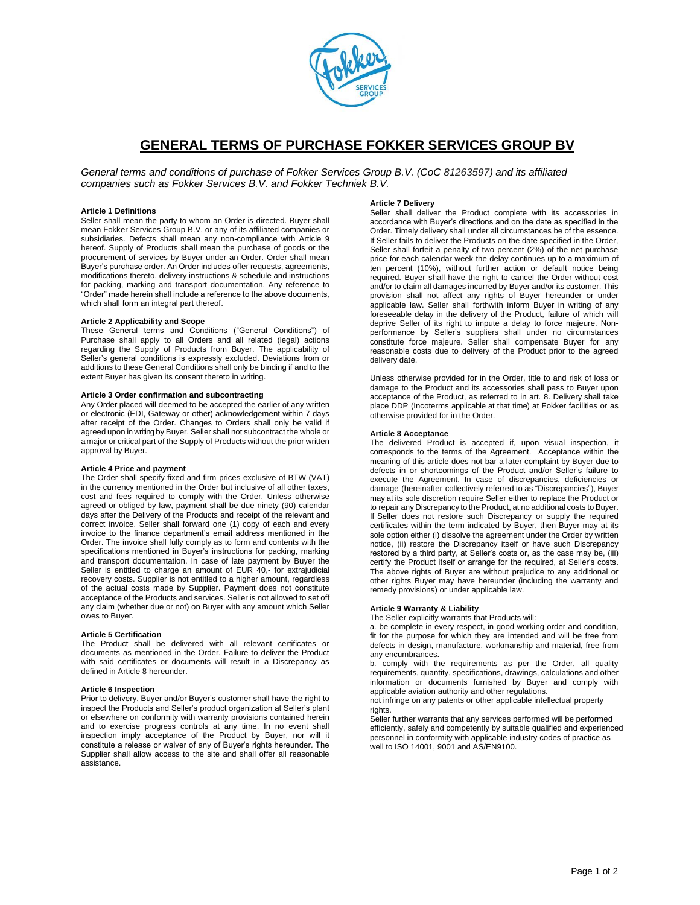

# **GENERAL TERMS OF PURCHASE FOKKER SERVICES GROUP BV**

*General terms and conditions of purchase of Fokker Services Group B.V. (CoC 81263597) and its affiliated companies such as Fokker Services B.V. and Fokker Techniek B.V.*

## **Article 1 Definitions**

Seller shall mean the party to whom an Order is directed. Buyer shall mean Fokker Services Group B.V. or any of its affiliated companies or subsidiaries. Defects shall mean any non-compliance with Article 9 hereof. Supply of Products shall mean the purchase of goods or the procurement of services by Buyer under an Order. Order shall mean Buyer's purchase order. An Order includes offer requests, agreements, modifications thereto, delivery instructions & schedule and instructions of for packing, marking and transport documentation. Any reference to "Order" made herein shall include a reference to the above documents, which shall form an integral part thereof.

## **Article 2 Applicability and Scope**

These General terms and Conditions ("General Conditions") of Purchase shall apply to all Orders and all related (legal) actions regarding the Supply of Products from Buyer. The applicability of Seller's general conditions is expressly excluded. Deviations from or additions to these General Conditions shall only be binding if and to the extent Buyer has given its consent thereto in writing.

## **Article 3 Order confirmation and subcontracting**

Any Order placed will deemed to be accepted the earlier of any written or electronic (EDI, Gateway or other) acknowledgement within 7 days after receipt of the Order. Changes to Orders shall only be valid if agreed upon in writing by Buyer. Seller shall not subcontract the whole or a major or critical part of the Supply of Products without the prior written approval by Buyer.

### **Article 4 Price and payment**

The Order shall specify fixed and firm prices exclusive of BTW (VAT) in the currency mentioned in the Order but inclusive of all other taxes, cost and fees required to comply with the Order. Unless otherwise agreed or obliged by law, payment shall be due ninety (90) calendar days after the Delivery of the Products and receipt of the relevant and correct invoice. Seller shall forward one (1) copy of each and every invoice to the finance department's email address mentioned in the Order. The invoice shall fully comply as to form and contents with the specifications mentioned in Buyer's instructions for packing, marking and transport documentation. In case of late payment by Buyer the Seller is entitled to charge an amount of EUR 40,- for extrajudicial recovery costs. Supplier is not entitled to a higher amount, regardless of the actual costs made by Supplier. Payment does not constitute acceptance of the Products and services. Seller is not allowed to set off any claim (whether due or not) on Buyer with any amount which Seller owes to Buyer.

## **Article 5 Certification**

The Product shall be delivered with all relevant certificates or documents as mentioned in the Order. Failure to deliver the Product with said certificates or documents will result in a Discrepancy as defined in Article 8 hereunder.

#### **Article 6 Inspection**

Prior to delivery, Buyer and/or Buyer's customer shall have the right to inspect the Products and Seller's product organization at Seller's plant or elsewhere on conformity with warranty provisions contained herein and to exercise progress controls at any time. In no event shall inspection imply acceptance of the Product by Buyer, nor will it constitute a release or waiver of any of Buyer's rights hereunder. The Supplier shall allow access to the site and shall offer all reasonable assistance.

#### **Article 7 Delivery**

Seller shall deliver the Product complete with its accessories in accordance with Buyer's directions and on the date as specified in the Order. Timely delivery shall under all circumstances be of the essence. If Seller fails to deliver the Products on the date specified in the Order, Seller shall forfeit a penalty of two percent (2%) of the net purchase price for each calendar week the delay continues up to a maximum of ten percent (10%), without further action or default notice being required. Buyer shall have the right to cancel the Order without cost and/or to claim all damages incurred by Buyer and/or its customer. This provision shall not affect any rights of Buyer hereunder or under applicable law. Seller shall forthwith inform Buyer in writing of any foreseeable delay in the delivery of the Product, failure of which will deprive Seller of its right to impute a delay to force majeure. Nonperformance by Seller's suppliers shall under no circumstances constitute force majeure. Seller shall compensate Buyer for any reasonable costs due to delivery of the Product prior to the agreed delivery date.

Unless otherwise provided for in the Order, title to and risk of loss or damage to the Product and its accessories shall pass to Buyer upon acceptance of the Product, as referred to in art. 8. Delivery shall take place DDP (Incoterms applicable at that time) at Fokker facilities or as otherwise provided for in the Order.

### **Article 8 Acceptance**

The delivered Product is accepted if, upon visual inspection, it corresponds to the terms of the Agreement. Acceptance within the meaning of this article does not bar a later complaint by Buyer due to defects in or shortcomings of the Product and/or Seller's failure to execute the Agreement. In case of discrepancies, deficiencies or damage (hereinafter collectively referred to as "Discrepancies"), Buyer may at its sole discretion require Seller either to replace the Product or to repair any Discrepancy to the Product, at no additional costs to Buyer. If Seller does not restore such Discrepancy or supply the required certificates within the term indicated by Buyer, then Buyer may at its sole option either (i) dissolve the agreement under the Order by written notice, (ii) restore the Discrepancy itself or have such Discrepancy restored by a third party, at Seller's costs or, as the case may be, (iii) certify the Product itself or arrange for the required, at Seller's costs. The above rights of Buyer are without prejudice to any additional or other rights Buyer may have hereunder (including the warranty and remedy provisions) or under applicable law.

## **Article 9 Warranty & Liability**

The Seller explicitly warrants that Products will:

a. be complete in every respect, in good working order and condition, fit for the purpose for which they are intended and will be free from defects in design, manufacture, workmanship and material, free from any encumbrances.

b. comply with the requirements as per the Order, all quality requirements, quantity, specifications, drawings, calculations and other information or documents furnished by Buyer and comply with applicable aviation authority and other regulations.

not infringe on any patents or other applicable intellectual property rights.

Seller further warrants that any services performed will be performed efficiently, safely and competently by suitable qualified and experienced personnel in conformity with applicable industry codes of practice as well to ISO 14001, 9001 and AS/EN9100.